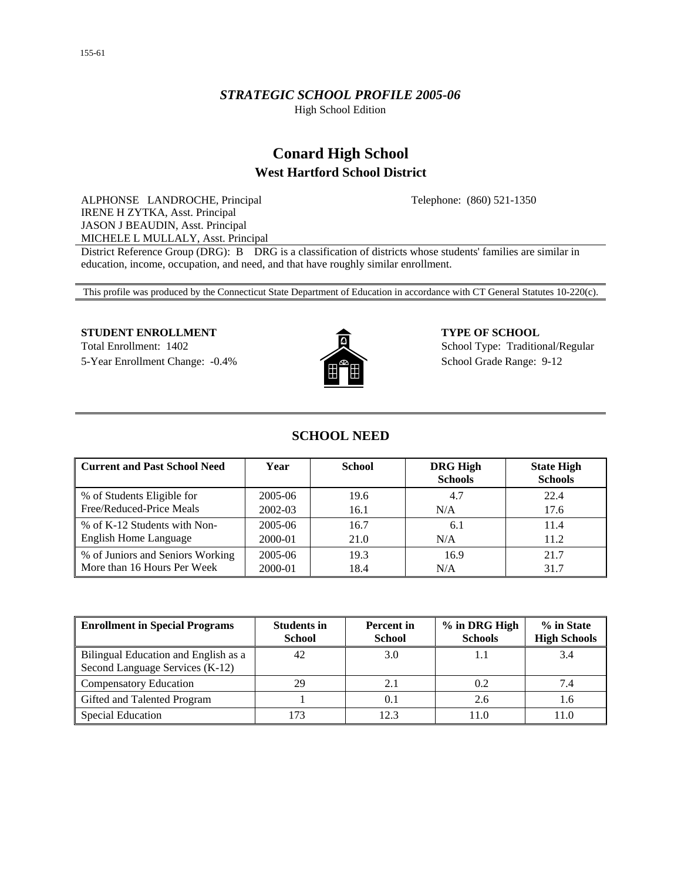## *STRATEGIC SCHOOL PROFILE 2005-06*

High School Edition

# **Conard High School West Hartford School District**

Telephone: (860) 521-1350

ALPHONSE LANDROCHE, Principal IRENE H ZYTKA, Asst. Principal JASON J BEAUDIN, Asst. Principal MICHELE L MULLALY, Asst. Principal

District Reference Group (DRG): B DRG is a classification of districts whose students' families are similar in education, income, occupation, and need, and that have roughly similar enrollment.

This profile was produced by the Connecticut State Department of Education in accordance with CT General Statutes 10-220(c).

### **STUDENT ENROLLMENT**  $\bullet$  **TYPE OF SCHOOL**

5-Year Enrollment Change: -0.4% School Grade Range: 9-12



Total Enrollment: 1402 School Type: Traditional/Regular

## **SCHOOL NEED**

| <b>Current and Past School Need</b> | Year        | <b>School</b> | <b>DRG High</b><br><b>Schools</b> | <b>State High</b><br><b>Schools</b> |
|-------------------------------------|-------------|---------------|-----------------------------------|-------------------------------------|
| % of Students Eligible for          | 2005-06     | 19.6          | 4.7                               | 22.4                                |
| Free/Reduced-Price Meals            | 2002-03     | 16.1          | N/A                               | 17.6                                |
| % of K-12 Students with Non-        | 2005-06     | 16.7          | 6.1                               | 11.4                                |
| <b>English Home Language</b>        | 2000-01     | 21.0          | N/A                               | 11.2                                |
| % of Juniors and Seniors Working    | $2005 - 06$ | 19.3          | 16.9                              | 21.7                                |
| More than 16 Hours Per Week         | 2000-01     | 18.4          | N/A                               | 31.7                                |

| <b>Enrollment in Special Programs</b>                                   | <b>Students in</b><br><b>School</b> | <b>Percent</b> in<br><b>School</b> | % in DRG High<br><b>Schools</b> | % in State<br><b>High Schools</b> |
|-------------------------------------------------------------------------|-------------------------------------|------------------------------------|---------------------------------|-----------------------------------|
| Bilingual Education and English as a<br>Second Language Services (K-12) | 42                                  | 3.0                                |                                 | 3.4                               |
| <b>Compensatory Education</b>                                           | 29                                  | 2.1                                | 0.2                             | 7.4                               |
| Gifted and Talented Program                                             |                                     | 0.1                                | 2.6                             |                                   |
| Special Education                                                       |                                     | 12.3                               | 11.0                            |                                   |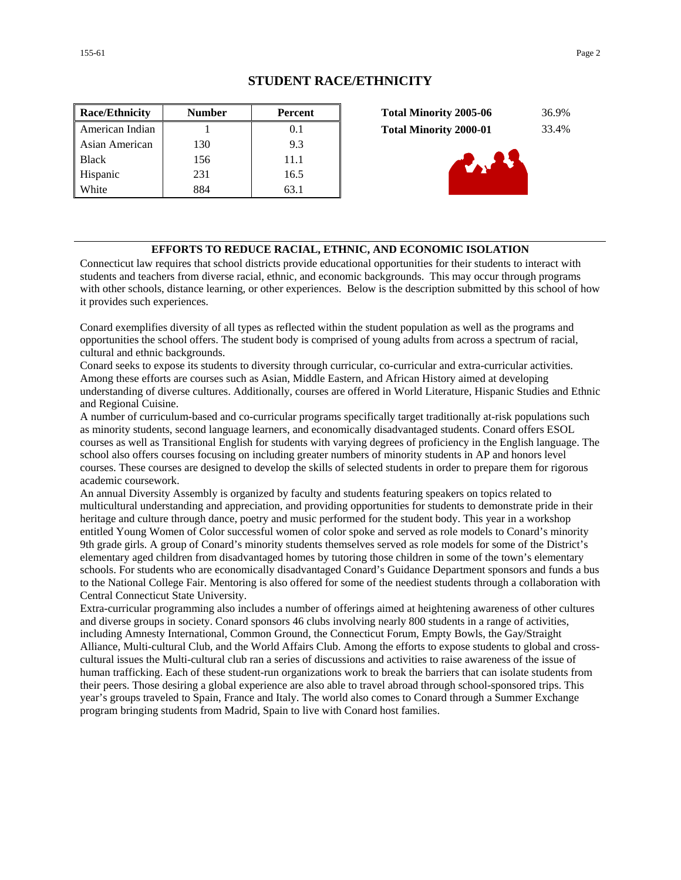### **STUDENT RACE/ETHNICITY**

| <b>Race/Ethnicity</b> | <b>Number</b> | <b>Percent</b> | <b>Total Minority 2005-06</b><br>36.9% |  |
|-----------------------|---------------|----------------|----------------------------------------|--|
| American Indian       |               | 0.1            | <b>Total Minority 2000-01</b><br>33.4% |  |
| Asian American        | 130           | 9.3            |                                        |  |
| <b>Black</b>          | 156           | 11.1           |                                        |  |
| Hispanic              | 231           | 16.5           |                                        |  |
| White                 | 884           | 63.1           |                                        |  |

| <b>Total Minority 2005-06</b> | 36.9% |
|-------------------------------|-------|
| <b>Total Minority 2000-01</b> | 33.4% |



#### **EFFORTS TO REDUCE RACIAL, ETHNIC, AND ECONOMIC ISOLATION**

Connecticut law requires that school districts provide educational opportunities for their students to interact with students and teachers from diverse racial, ethnic, and economic backgrounds. This may occur through programs with other schools, distance learning, or other experiences. Below is the description submitted by this school of how it provides such experiences.

Conard exemplifies diversity of all types as reflected within the student population as well as the programs and opportunities the school offers. The student body is comprised of young adults from across a spectrum of racial, cultural and ethnic backgrounds.

Conard seeks to expose its students to diversity through curricular, co-curricular and extra-curricular activities. Among these efforts are courses such as Asian, Middle Eastern, and African History aimed at developing understanding of diverse cultures. Additionally, courses are offered in World Literature, Hispanic Studies and Ethnic and Regional Cuisine.

A number of curriculum-based and co-curricular programs specifically target traditionally at-risk populations such as minority students, second language learners, and economically disadvantaged students. Conard offers ESOL courses as well as Transitional English for students with varying degrees of proficiency in the English language. The school also offers courses focusing on including greater numbers of minority students in AP and honors level courses. These courses are designed to develop the skills of selected students in order to prepare them for rigorous academic coursework.

An annual Diversity Assembly is organized by faculty and students featuring speakers on topics related to multicultural understanding and appreciation, and providing opportunities for students to demonstrate pride in their heritage and culture through dance, poetry and music performed for the student body. This year in a workshop entitled Young Women of Color successful women of color spoke and served as role models to Conard's minority 9th grade girls. A group of Conard's minority students themselves served as role models for some of the District's elementary aged children from disadvantaged homes by tutoring those children in some of the town's elementary schools. For students who are economically disadvantaged Conard's Guidance Department sponsors and funds a bus to the National College Fair. Mentoring is also offered for some of the neediest students through a collaboration with Central Connecticut State University.

Extra-curricular programming also includes a number of offerings aimed at heightening awareness of other cultures and diverse groups in society. Conard sponsors 46 clubs involving nearly 800 students in a range of activities, including Amnesty International, Common Ground, the Connecticut Forum, Empty Bowls, the Gay/Straight Alliance, Multi-cultural Club, and the World Affairs Club. Among the efforts to expose students to global and crosscultural issues the Multi-cultural club ran a series of discussions and activities to raise awareness of the issue of human trafficking. Each of these student-run organizations work to break the barriers that can isolate students from their peers. Those desiring a global experience are also able to travel abroad through school-sponsored trips. This year's groups traveled to Spain, France and Italy. The world also comes to Conard through a Summer Exchange program bringing students from Madrid, Spain to live with Conard host families.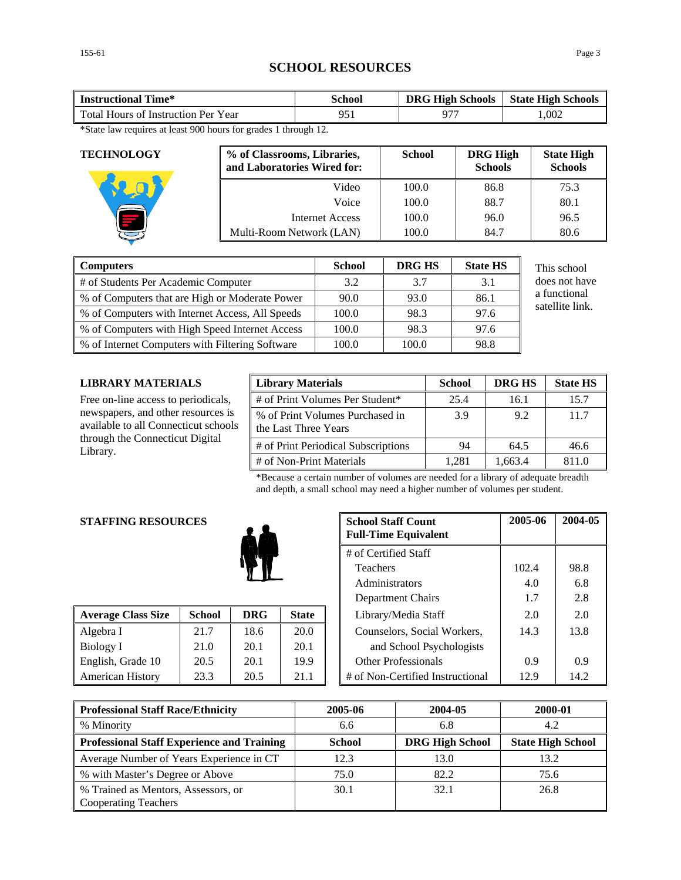## **SCHOOL RESOURCES**

| <b>Instructional Time*</b>          | <b>School</b> |  | <b>State High Schools</b> |
|-------------------------------------|---------------|--|---------------------------|
| Total Hours of Instruction Per Year |               |  | 0.002                     |
| ----                                |               |  |                           |

\*State law requires at least 900 hours for grades 1 through 12.

| <b>TECHNOLOGY</b> | % of Classrooms, Libraries,<br>and Laboratories Wired for: | <b>School</b> | <b>DRG High</b><br><b>Schools</b> | <b>State High</b><br><b>Schools</b> |
|-------------------|------------------------------------------------------------|---------------|-----------------------------------|-------------------------------------|
|                   | Video                                                      | 100.0         | 86.8                              | 75.3                                |
|                   | Voice                                                      | 100.0         | 88.7                              | 80.1                                |
|                   | Internet Access                                            | 100.0         | 96.0                              | 96.5                                |
|                   | Multi-Room Network (LAN)                                   | 100.0         | 84.7                              | 80.6                                |

| Computers                                         | <b>School</b> | DRG HS | <b>State HS</b> | This school     |
|---------------------------------------------------|---------------|--------|-----------------|-----------------|
| # of Students Per Academic Computer               | 3.2           | 3.7    | 3.1             | does not have   |
| ■ % of Computers that are High or Moderate Power  | 90.0          | 93.0   | 86.1            | a functional    |
| ■ % of Computers with Internet Access, All Speeds | 100.0         | 98.3   | 97.6            | satellite link. |
| ■ % of Computers with High Speed Internet Access  | 100.0         | 98.3   | 97.6            |                 |
| ■ % of Internet Computers with Filtering Software | 100.0         | 100.0  | 98.8            |                 |

**LIBRARY MATERIALS** 

Free on-line access to periodicals, newspapers, and other resources is available to all Connecticut schools through the Connecticut Digital Library.

| <b>Library Materials</b>                                | <b>School</b> | <b>DRG HS</b> | <b>State HS</b> |
|---------------------------------------------------------|---------------|---------------|-----------------|
| # of Print Volumes Per Student*                         | 25.4          | 16.1          | 15.7            |
| % of Print Volumes Purchased in<br>the Last Three Years | 3.9           | 9.2           | 11.7            |
| # of Print Periodical Subscriptions                     | 94            | 64.5          | 46.6            |
| # of Non-Print Materials                                | 1.281         | 1.663.4       | 811 0           |

\*Because a certain number of volumes are needed for a library of adequate breadth and depth, a small school may need a higher number of volumes per student.

#### **STAFFING RESOURCES**



| <b>Average Class Size</b> | <b>School</b> | <b>DRG</b> | <b>State</b> | Library/Media Staff              | 2.0  | 2.0              |
|---------------------------|---------------|------------|--------------|----------------------------------|------|------------------|
| Algebra I                 | 21.7          | 18.6       | 20.0         | Counselors, Social Workers,      | 14.3 | 13.8             |
| Biology I                 | 21.0          | 20.1       | 20.1         | and School Psychologists         |      |                  |
| English, Grade 10         | 20.5          | 20.1       | 19.9         | <b>Other Professionals</b>       | 0.9  | 0.9 <sup>°</sup> |
| <b>American History</b>   | 23.3          | 20.5       | 21.1         | # of Non-Certified Instructional | 12.9 | 14.2             |

| <b>School Staff Count</b><br><b>Full-Time Equivalent</b> | 2005-06 | 2004-05 |
|----------------------------------------------------------|---------|---------|
| # of Certified Staff                                     |         |         |
| <b>Teachers</b>                                          | 102.4   | 98.8    |
| Administrators                                           | 4.0     | 6.8     |
| Department Chairs                                        | 1.7     | 2.8     |
| Library/Media Staff                                      | 2.0     | 2.0     |
| Counselors, Social Workers,                              | 14.3    | 13.8    |
| and School Psychologists                                 |         |         |
| Other Professionals                                      | 0.9     | 0.9     |
| # of Non-Certified Instructional                         | 12.9    | 14.2    |

| <b>Professional Staff Race/Ethnicity</b>                           | 2005-06       | 2004-05                | 2000-01                  |  |
|--------------------------------------------------------------------|---------------|------------------------|--------------------------|--|
| % Minority                                                         | 6.6           | 6.8                    | 4.2                      |  |
| <b>Professional Staff Experience and Training</b>                  | <b>School</b> | <b>DRG High School</b> | <b>State High School</b> |  |
| Average Number of Years Experience in CT                           | 12.3          | 13.0                   | 13.2                     |  |
| % with Master's Degree or Above                                    | 75.0          | 82.2                   | 75.6                     |  |
| % Trained as Mentors, Assessors, or<br><b>Cooperating Teachers</b> | 30.1          | 32.1                   | 26.8                     |  |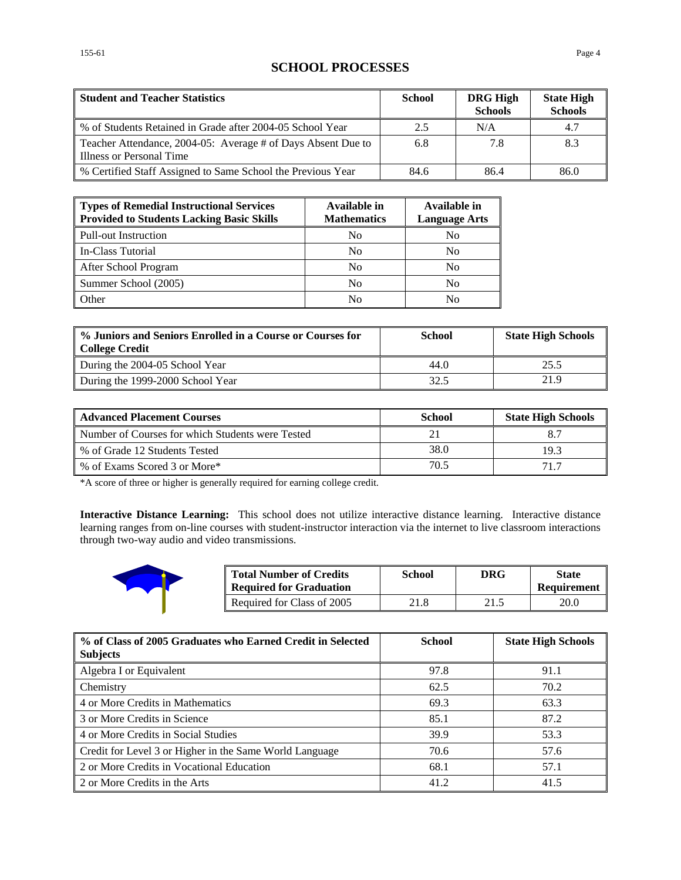## **SCHOOL PROCESSES**

| <b>Student and Teacher Statistics</b>                                                    | <b>School</b> | <b>DRG High</b><br><b>Schools</b> | <b>State High</b><br><b>Schools</b> |
|------------------------------------------------------------------------------------------|---------------|-----------------------------------|-------------------------------------|
| % of Students Retained in Grade after 2004-05 School Year                                | 2.5           | N/A                               | 4.7                                 |
| Teacher Attendance, 2004-05: Average # of Days Absent Due to<br>Illness or Personal Time | 6.8           | 7.8                               | 8.3                                 |
| % Certified Staff Assigned to Same School the Previous Year                              | 84.6          | 86.4                              | 86.0                                |

| <b>Types of Remedial Instructional Services</b><br><b>Provided to Students Lacking Basic Skills</b> | <b>Available in</b><br><b>Mathematics</b> | Available in<br><b>Language Arts</b> |
|-----------------------------------------------------------------------------------------------------|-------------------------------------------|--------------------------------------|
| <b>Pull-out Instruction</b>                                                                         | N <sub>0</sub>                            | No                                   |
| In-Class Tutorial                                                                                   | No                                        | No                                   |
| After School Program                                                                                | N <sub>0</sub>                            | No                                   |
| Summer School (2005)                                                                                | N <sub>0</sub>                            | No                                   |
| Other                                                                                               | Nο                                        | No                                   |

| % Juniors and Seniors Enrolled in a Course or Courses for<br><b>College Credit</b> | School | <b>State High Schools</b> |
|------------------------------------------------------------------------------------|--------|---------------------------|
| During the 2004-05 School Year                                                     | 44.0   | 25.5                      |
| During the 1999-2000 School Year                                                   | 32.5   | 21.9                      |

| <b>Advanced Placement Courses</b>                | School | <b>State High Schools</b> |
|--------------------------------------------------|--------|---------------------------|
| Number of Courses for which Students were Tested |        |                           |
| % of Grade 12 Students Tested                    | 38.0   | 193                       |
| % of Exams Scored 3 or More*                     | 70.5   | 71.7                      |

\*A score of three or higher is generally required for earning college credit.

**Interactive Distance Learning:** This school does not utilize interactive distance learning. Interactive distance learning ranges from on-line courses with student-instructor interaction via the internet to live classroom interactions through two-way audio and video transmissions.



| <b>Total Number of Credits</b><br><b>Required for Graduation</b> | School | DRG  | <b>State</b><br>Requirement |
|------------------------------------------------------------------|--------|------|-----------------------------|
| Required for Class of 2005                                       | 21.8   | 21.5 | 20.0                        |

| % of Class of 2005 Graduates who Earned Credit in Selected<br><b>Subjects</b> | <b>School</b> | <b>State High Schools</b> |
|-------------------------------------------------------------------------------|---------------|---------------------------|
| Algebra I or Equivalent                                                       | 97.8          | 91.1                      |
| <b>Chemistry</b>                                                              | 62.5          | 70.2                      |
| 4 or More Credits in Mathematics                                              | 69.3          | 63.3                      |
| 3 or More Credits in Science                                                  | 85.1          | 87.2                      |
| 4 or More Credits in Social Studies                                           | 39.9          | 53.3                      |
| Credit for Level 3 or Higher in the Same World Language                       | 70.6          | 57.6                      |
| 2 or More Credits in Vocational Education                                     | 68.1          | 57.1                      |
| 2 or More Credits in the Arts                                                 | 41.2          | 41.5                      |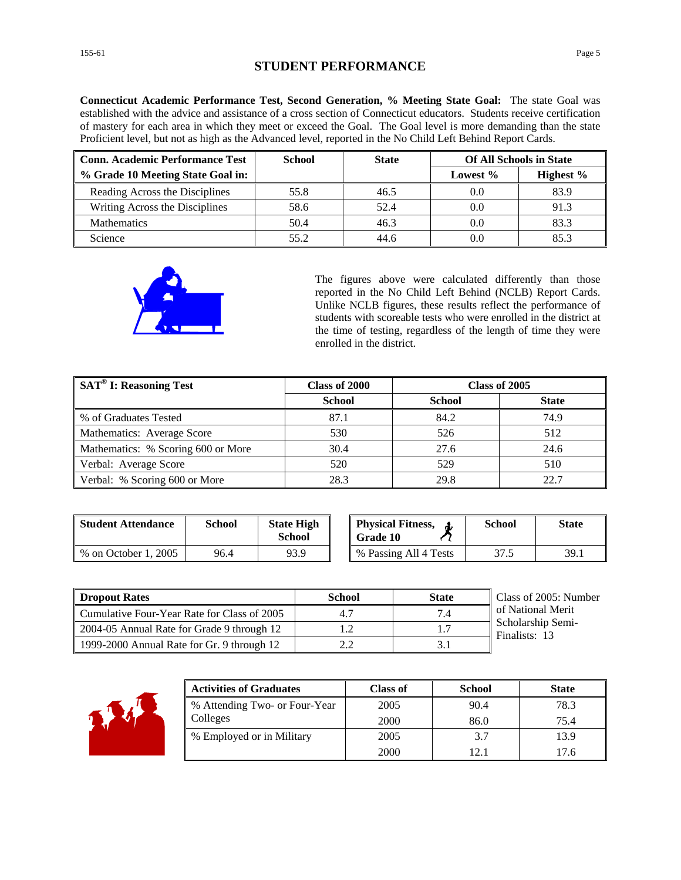## **STUDENT PERFORMANCE**

**Connecticut Academic Performance Test, Second Generation, % Meeting State Goal:** The state Goal was established with the advice and assistance of a cross section of Connecticut educators. Students receive certification of mastery for each area in which they meet or exceed the Goal. The Goal level is more demanding than the state Proficient level, but not as high as the Advanced level, reported in the No Child Left Behind Report Cards.

| <b>Conn. Academic Performance Test</b> | <b>School</b> | <b>State</b> | <b>Of All Schools in State</b> |           |
|----------------------------------------|---------------|--------------|--------------------------------|-----------|
| % Grade 10 Meeting State Goal in:      |               |              | Lowest $\%$                    | Highest % |
| Reading Across the Disciplines         | 55.8          | 46.5         | 0.0                            | 83.9      |
| Writing Across the Disciplines         | 58.6          | 52.4         | 0.0                            | 91.3      |
| <b>Mathematics</b>                     | 50.4          | 46.3         | 0.0                            | 83.3      |
| Science                                | 55.2          | 44.6         | 0.0                            | 85.3      |



The figures above were calculated differently than those reported in the No Child Left Behind (NCLB) Report Cards. Unlike NCLB figures, these results reflect the performance of students with scoreable tests who were enrolled in the district at the time of testing, regardless of the length of time they were enrolled in the district.

| $\sqrt{\text{SAT}^{\otimes}}$ I: Reasoning Test | Class of 2000 | Class of 2005 |              |
|-------------------------------------------------|---------------|---------------|--------------|
|                                                 | <b>School</b> | <b>School</b> | <b>State</b> |
| ■ % of Graduates Tested                         | 87.1          | 84.2          | 74.9         |
| Mathematics: Average Score                      | 530           | 526           | 512          |
| Mathematics: % Scoring 600 or More              | 30.4          | 27.6          | 24.6         |
| Verbal: Average Score                           | 520           | 529           | 510          |
| Verbal: % Scoring 600 or More                   | 28.3          | 29.8          | 22.7         |

| Student Attendance   | <b>School</b> | <b>State High</b><br>School | <b>Physical Fitness.</b><br><b>Grade 10</b> | <b>School</b> | <b>State</b> |
|----------------------|---------------|-----------------------------|---------------------------------------------|---------------|--------------|
| % on October 1, 2005 | 96.4          | 93.9                        | % Passing All 4 Tests                       | 37.5          | 39.1         |

| <b>Dropout Rates</b>                        | School | <b>State</b> | Class of 2005: Number              |
|---------------------------------------------|--------|--------------|------------------------------------|
| Cumulative Four-Year Rate for Class of 2005 | 4.1    | 7.4          | of National Merit                  |
| 2004-05 Annual Rate for Grade 9 through 12  |        |              | Scholarship Semi-<br>Finalists: 13 |
| 1999-2000 Annual Rate for Gr. 9 through 12  | っっ     |              |                                    |



| <b>Activities of Graduates</b> | <b>Class of</b> | <b>School</b> | <b>State</b> |
|--------------------------------|-----------------|---------------|--------------|
| % Attending Two- or Four-Year  | 2005            | 90.4          | 78.3         |
| Colleges                       | 2000            | 86.0          | 75.4         |
| % Employed or in Military      | 2005            | 3.7           | 13.9         |
|                                | <b>2000</b>     | 12.1          | 17.6         |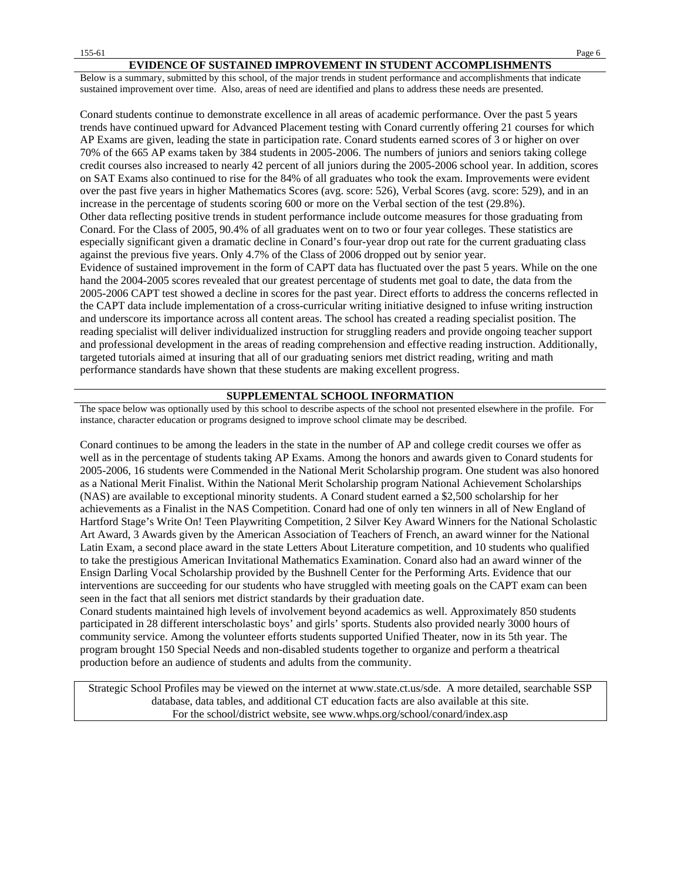#### **EVIDENCE OF SUSTAINED IMPROVEMENT IN STUDENT ACCOMPLISHMENTS**

Below is a summary, submitted by this school, of the major trends in student performance and accomplishments that indicate sustained improvement over time. Also, areas of need are identified and plans to address these needs are presented.

Conard students continue to demonstrate excellence in all areas of academic performance. Over the past 5 years trends have continued upward for Advanced Placement testing with Conard currently offering 21 courses for which AP Exams are given, leading the state in participation rate. Conard students earned scores of 3 or higher on over 70% of the 665 AP exams taken by 384 students in 2005-2006. The numbers of juniors and seniors taking college credit courses also increased to nearly 42 percent of all juniors during the 2005-2006 school year. In addition, scores on SAT Exams also continued to rise for the 84% of all graduates who took the exam. Improvements were evident over the past five years in higher Mathematics Scores (avg. score: 526), Verbal Scores (avg. score: 529), and in an increase in the percentage of students scoring 600 or more on the Verbal section of the test (29.8%). Other data reflecting positive trends in student performance include outcome measures for those graduating from Conard. For the Class of 2005, 90.4% of all graduates went on to two or four year colleges. These statistics are especially significant given a dramatic decline in Conard's four-year drop out rate for the current graduating class against the previous five years. Only 4.7% of the Class of 2006 dropped out by senior year. Evidence of sustained improvement in the form of CAPT data has fluctuated over the past 5 years. While on the one hand the 2004-2005 scores revealed that our greatest percentage of students met goal to date, the data from the 2005-2006 CAPT test showed a decline in scores for the past year. Direct efforts to address the concerns reflected in the CAPT data include implementation of a cross-curricular writing initiative designed to infuse writing instruction and underscore its importance across all content areas. The school has created a reading specialist position. The reading specialist will deliver individualized instruction for struggling readers and provide ongoing teacher support and professional development in the areas of reading comprehension and effective reading instruction. Additionally, targeted tutorials aimed at insuring that all of our graduating seniors met district reading, writing and math performance standards have shown that these students are making excellent progress.

#### **SUPPLEMENTAL SCHOOL INFORMATION**

The space below was optionally used by this school to describe aspects of the school not presented elsewhere in the profile. For instance, character education or programs designed to improve school climate may be described.

Conard continues to be among the leaders in the state in the number of AP and college credit courses we offer as well as in the percentage of students taking AP Exams. Among the honors and awards given to Conard students for 2005-2006, 16 students were Commended in the National Merit Scholarship program. One student was also honored as a National Merit Finalist. Within the National Merit Scholarship program National Achievement Scholarships (NAS) are available to exceptional minority students. A Conard student earned a \$2,500 scholarship for her achievements as a Finalist in the NAS Competition. Conard had one of only ten winners in all of New England of Hartford Stage's Write On! Teen Playwriting Competition, 2 Silver Key Award Winners for the National Scholastic Art Award, 3 Awards given by the American Association of Teachers of French, an award winner for the National Latin Exam, a second place award in the state Letters About Literature competition, and 10 students who qualified to take the prestigious American Invitational Mathematics Examination. Conard also had an award winner of the Ensign Darling Vocal Scholarship provided by the Bushnell Center for the Performing Arts. Evidence that our interventions are succeeding for our students who have struggled with meeting goals on the CAPT exam can been seen in the fact that all seniors met district standards by their graduation date.

Conard students maintained high levels of involvement beyond academics as well. Approximately 850 students participated in 28 different interscholastic boys' and girls' sports. Students also provided nearly 3000 hours of community service. Among the volunteer efforts students supported Unified Theater, now in its 5th year. The program brought 150 Special Needs and non-disabled students together to organize and perform a theatrical production before an audience of students and adults from the community.

Strategic School Profiles may be viewed on the internet at www.state.ct.us/sde. A more detailed, searchable SSP database, data tables, and additional CT education facts are also available at this site. For the school/district website, see www.whps.org/school/conard/index.asp